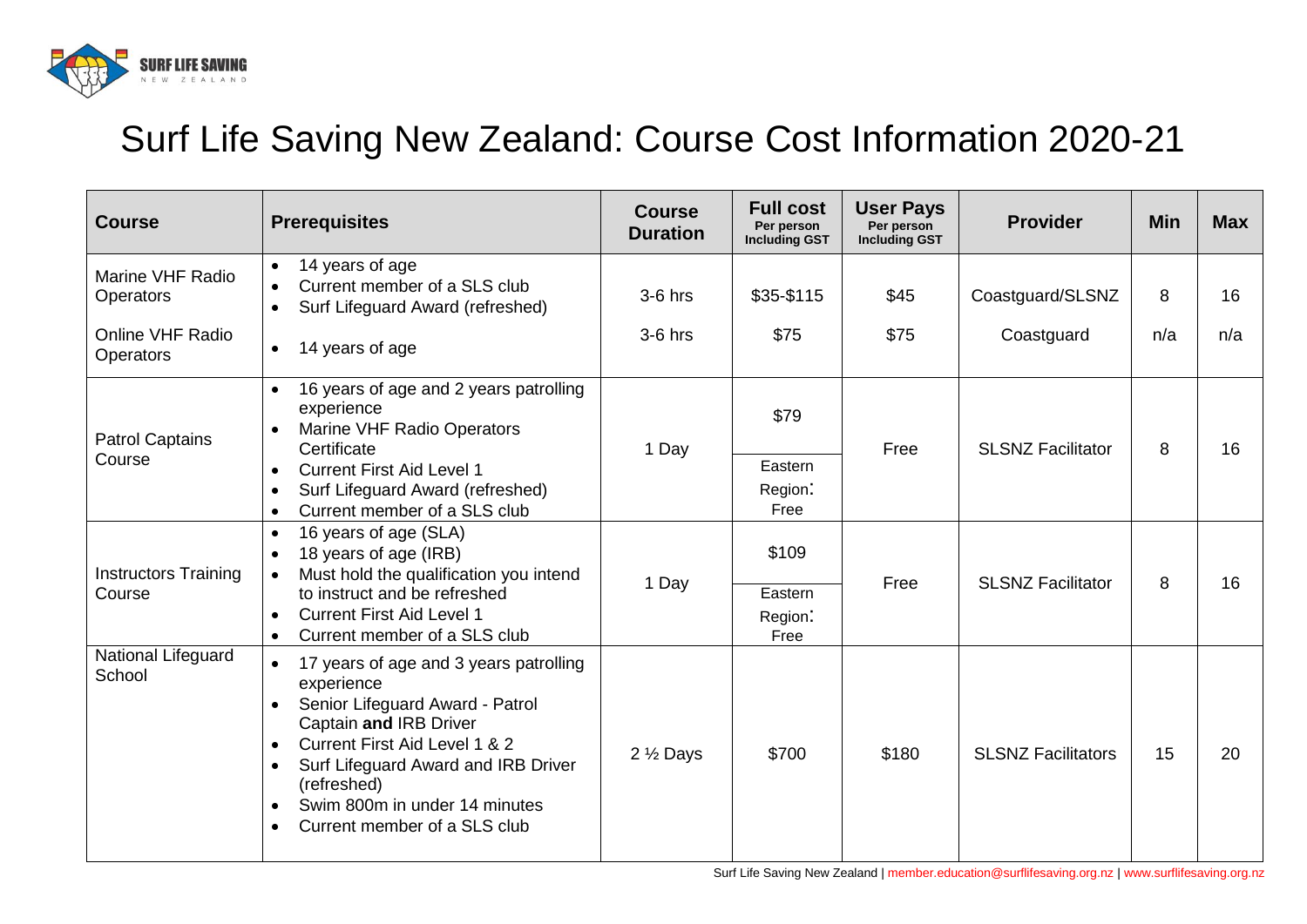

## Surf Life Saving New Zealand: Course Cost Information 2020-21

| <b>Course</b>                         | <b>Prerequisites</b>                                                                                                                                                                                                                                                                                                                     | <b>Course</b><br><b>Duration</b> | <b>Full cost</b><br>Per person<br><b>Including GST</b> | <b>User Pays</b><br>Per person<br><b>Including GST</b> | <b>Provider</b>           | <b>Min</b> | <b>Max</b> |
|---------------------------------------|------------------------------------------------------------------------------------------------------------------------------------------------------------------------------------------------------------------------------------------------------------------------------------------------------------------------------------------|----------------------------------|--------------------------------------------------------|--------------------------------------------------------|---------------------------|------------|------------|
| Marine VHF Radio<br><b>Operators</b>  | 14 years of age<br>$\bullet$<br>Current member of a SLS club<br>Surf Lifeguard Award (refreshed)                                                                                                                                                                                                                                         | 3-6 hrs                          | \$35-\$115                                             | \$45                                                   | Coastguard/SLSNZ          | 8          | 16         |
| Online VHF Radio<br><b>Operators</b>  | 14 years of age<br>$\bullet$                                                                                                                                                                                                                                                                                                             | $3-6$ hrs                        | \$75                                                   | \$75                                                   | Coastguard                | n/a        | n/a        |
| <b>Patrol Captains</b><br>Course      | 16 years of age and 2 years patrolling<br>experience<br>Marine VHF Radio Operators<br>Certificate                                                                                                                                                                                                                                        | 1 Day                            | \$79                                                   | Free                                                   | <b>SLSNZ Facilitator</b>  | 8          | 16         |
|                                       | <b>Current First Aid Level 1</b><br>Surf Lifeguard Award (refreshed)<br>Current member of a SLS club<br>$\bullet$                                                                                                                                                                                                                        |                                  | Eastern<br>Region:<br>Free                             |                                                        |                           |            |            |
| <b>Instructors Training</b><br>Course | 16 years of age (SLA)<br>$\bullet$<br>18 years of age (IRB)<br>$\bullet$<br>Must hold the qualification you intend<br>$\bullet$<br>to instruct and be refreshed                                                                                                                                                                          | 1 Day                            | \$109                                                  | Free                                                   | <b>SLSNZ Facilitator</b>  | 8          | 16         |
|                                       | <b>Current First Aid Level 1</b><br>Current member of a SLS club<br>$\bullet$                                                                                                                                                                                                                                                            |                                  | Eastern<br>Region:<br>Free                             |                                                        |                           |            |            |
| National Lifeguard<br>School          | 17 years of age and 3 years patrolling<br>$\bullet$<br>experience<br>Senior Lifeguard Award - Patrol<br>Captain and IRB Driver<br><b>Current First Aid Level 1 &amp; 2</b><br>$\bullet$<br>Surf Lifeguard Award and IRB Driver<br>$\bullet$<br>(refreshed)<br>Swim 800m in under 14 minutes<br>$\bullet$<br>Current member of a SLS club | 2 1/2 Days                       | \$700                                                  | \$180                                                  | <b>SLSNZ Facilitators</b> | 15         | 20         |